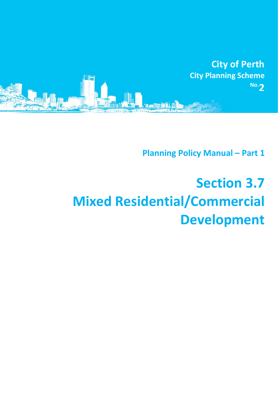

**Planning Policy Manual – Part 1**

# **Section 3.7 Mixed Residential/Commercial Development**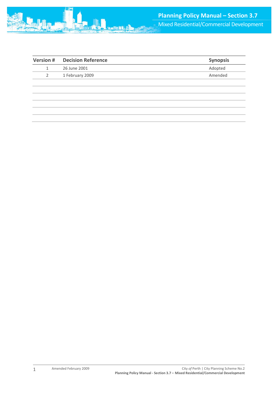

| Version # | <b>Decision Reference</b> | <b>Synopsis</b> |
|-----------|---------------------------|-----------------|
| 1         | 26 June 2001              | Adopted         |
| 2         | 1 February 2009           | Amended         |
|           |                           |                 |
|           |                           |                 |
|           |                           |                 |
|           |                           |                 |
|           |                           |                 |